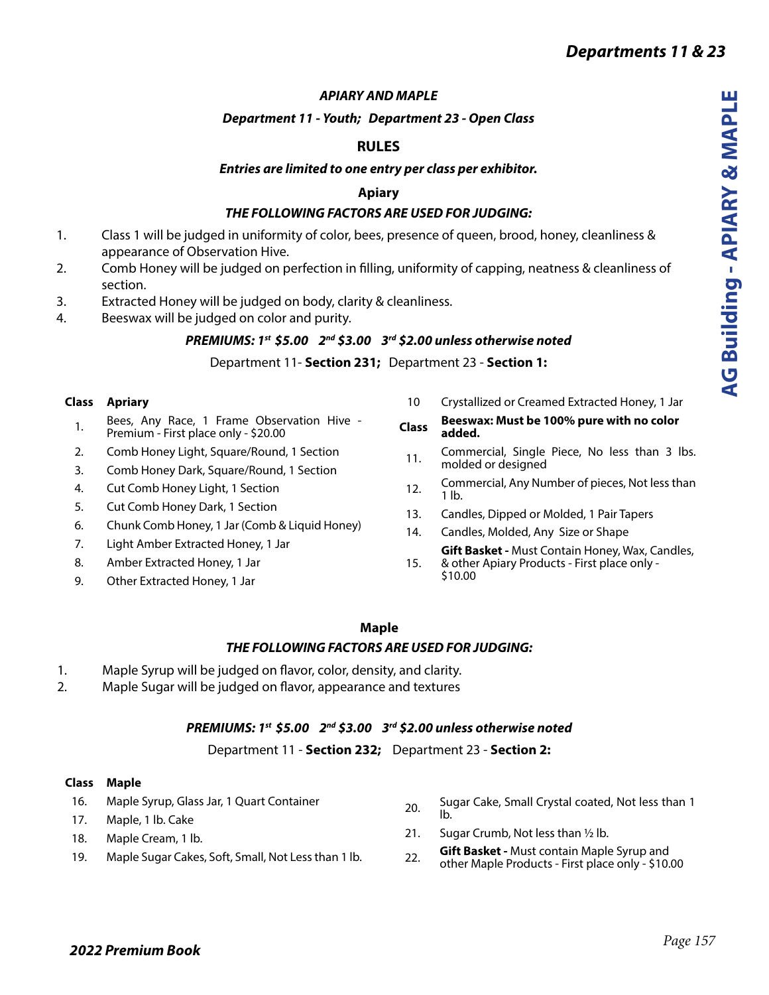#### *APIARY AND MAPLE*

#### *Department 11 - Youth; Department 23 - Open Class*

# **RULES**

#### *Entries are limited to one entry per class per exhibitor.*

### **Apiary**

## *THE FOLLOWING FACTORS ARE USED FOR JUDGING:*

- 1. Class 1 will be judged in uniformity of color, bees, presence of queen, brood, honey, cleanliness & appearance of Observation Hive.
- 2. Comb Honey will be judged on perfection in filling, uniformity of capping, neatness & cleanliness of section.
- 3. Extracted Honey will be judged on body, clarity & cleanliness.
- 4. Beeswax will be judged on color and purity.

### *PREMIUMS: 1st \$5.00 2nd \$3.00 3rd \$2.00 unless otherwise noted*

Department 11- **Section 231;** Department 23 - **Section 1:**

#### **Class Apriary**

- 1. Bees, Any Race, 1 Frame Observation Hive -Premium - First place only - \$20.00
- 2. Comb Honey Light, Square/Round, 1 Section
- 3. Comb Honey Dark, Square/Round, 1 Section
- 4. Cut Comb Honey Light, 1 Section
- 5. Cut Comb Honey Dark, 1 Section
- 6. Chunk Comb Honey, 1 Jar (Comb & Liquid Honey)
- 7. Light Amber Extracted Honey, 1 Jar
- 8. Amber Extracted Honey, 1 Jar
- 9. Other Extracted Honey, 1 Jar
- 10 Crystallized or Creamed Extracted Honey, 1 Jar
- **Class Beeswax: Must be 100% pure with no color added.**
- 11. Commercial, Single Piece, No less than 3 lbs. molded or designed
- 12. Commercial, Any Number of pieces, Not less than 1 lb.
- 13. Candles, Dipped or Molded, 1 Pair Tapers
- 14. Candles, Molded, Any Size or Shape

15. **Gift Basket -** Must Contain Honey, Wax, Candles, & other Apiary Products - First place only -

\$10.00

### **Maple**

### *THE FOLLOWING FACTORS ARE USED FOR JUDGING:*

- 1. Maple Syrup will be judged on flavor, color, density, and clarity.
- 2. Maple Sugar will be judged on flavor, appearance and textures

### *PREMIUMS: 1st \$5.00 2nd \$3.00 3rd \$2.00 unless otherwise noted*

Department 11 - **Section 232;** Department 23 - **Section 2:**

#### **Class Maple**

- 16. Maple Syrup, Glass Jar, 1 Quart Container
- 17. Maple, 1 lb. Cake
- 18. Maple Cream, 1 lb.
- 19. Maple Sugar Cakes, Soft, Small, Not Less than 1 lb.
- 20. Sugar Cake, Small Crystal coated, Not less than 1 lb.
- 21. Sugar Crumb, Not less than ½ lb.
- 22. **Gift Basket** Must contain Maple Syrup and other Maple Products - First place only - \$10.00